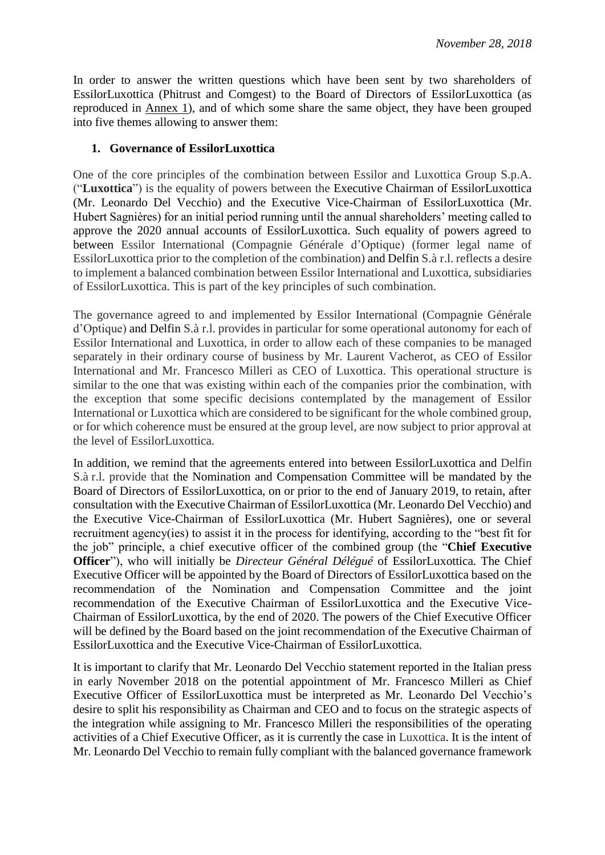In order to answer the written questions which have been sent by two shareholders of EssilorLuxottica (Phitrust and Comgest) to the Board of Directors of EssilorLuxottica (as reproduced in Annex 1), and of which some share the same object, they have been grouped into five themes allowing to answer them:

### **1. Governance of EssilorLuxottica**

One of the core principles of the combination between Essilor and Luxottica Group S.p.A. ("**Luxottica**") is the equality of powers between the Executive Chairman of EssilorLuxottica (Mr. Leonardo Del Vecchio) and the Executive Vice-Chairman of EssilorLuxottica (Mr. Hubert Sagnières) for an initial period running until the annual shareholders' meeting called to approve the 2020 annual accounts of EssilorLuxottica. Such equality of powers agreed to between Essilor International (Compagnie Générale d'Optique) (former legal name of EssilorLuxottica prior to the completion of the combination) and Delfin S.à r.l. reflects a desire to implement a balanced combination between Essilor International and Luxottica, subsidiaries of EssilorLuxottica. This is part of the key principles of such combination.

The governance agreed to and implemented by Essilor International (Compagnie Générale d'Optique) and Delfin S.à r.l. provides in particular for some operational autonomy for each of Essilor International and Luxottica, in order to allow each of these companies to be managed separately in their ordinary course of business by Mr. Laurent Vacherot, as CEO of Essilor International and Mr. Francesco Milleri as CEO of Luxottica. This operational structure is similar to the one that was existing within each of the companies prior the combination, with the exception that some specific decisions contemplated by the management of Essilor International or Luxottica which are considered to be significant for the whole combined group, or for which coherence must be ensured at the group level, are now subject to prior approval at the level of EssilorLuxottica.

In addition, we remind that the agreements entered into between EssilorLuxottica and Delfin S.à r.l. provide that the Nomination and Compensation Committee will be mandated by the Board of Directors of EssilorLuxottica, on or prior to the end of January 2019, to retain, after consultation with the Executive Chairman of EssilorLuxottica (Mr. Leonardo Del Vecchio) and the Executive Vice-Chairman of EssilorLuxottica (Mr. Hubert Sagnières), one or several recruitment agency(ies) to assist it in the process for identifying, according to the "best fit for the job" principle, a chief executive officer of the combined group (the "**Chief Executive Officer**"), who will initially be *Directeur Général Délégué* of EssilorLuxottica. The Chief Executive Officer will be appointed by the Board of Directors of EssilorLuxottica based on the recommendation of the Nomination and Compensation Committee and the joint recommendation of the Executive Chairman of EssilorLuxottica and the Executive Vice-Chairman of EssilorLuxottica, by the end of 2020. The powers of the Chief Executive Officer will be defined by the Board based on the joint recommendation of the Executive Chairman of EssilorLuxottica and the Executive Vice-Chairman of EssilorLuxottica.

It is important to clarify that Mr. Leonardo Del Vecchio statement reported in the Italian press in early November 2018 on the potential appointment of Mr. Francesco Milleri as Chief Executive Officer of EssilorLuxottica must be interpreted as Mr. Leonardo Del Vecchio's desire to split his responsibility as Chairman and CEO and to focus on the strategic aspects of the integration while assigning to Mr. Francesco Milleri the responsibilities of the operating activities of a Chief Executive Officer, as it is currently the case in Luxottica. It is the intent of Mr. Leonardo Del Vecchio to remain fully compliant with the balanced governance framework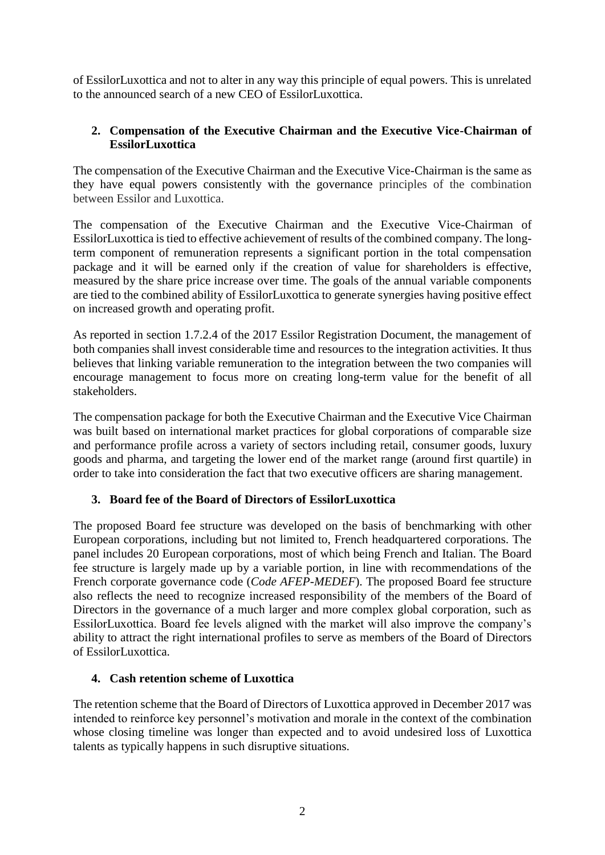of EssilorLuxottica and not to alter in any way this principle of equal powers. This is unrelated to the announced search of a new CEO of EssilorLuxottica.

## **2. Compensation of the Executive Chairman and the Executive Vice-Chairman of EssilorLuxottica**

The compensation of the Executive Chairman and the Executive Vice-Chairman is the same as they have equal powers consistently with the governance principles of the combination between Essilor and Luxottica.

The compensation of the Executive Chairman and the Executive Vice-Chairman of EssilorLuxottica is tied to effective achievement of results of the combined company. The longterm component of remuneration represents a significant portion in the total compensation package and it will be earned only if the creation of value for shareholders is effective, measured by the share price increase over time. The goals of the annual variable components are tied to the combined ability of EssilorLuxottica to generate synergies having positive effect on increased growth and operating profit.

As reported in section 1.7.2.4 of the 2017 Essilor Registration Document, the management of both companies shall invest considerable time and resources to the integration activities. It thus believes that linking variable remuneration to the integration between the two companies will encourage management to focus more on creating long-term value for the benefit of all stakeholders.

The compensation package for both the Executive Chairman and the Executive Vice Chairman was built based on international market practices for global corporations of comparable size and performance profile across a variety of sectors including retail, consumer goods, luxury goods and pharma, and targeting the lower end of the market range (around first quartile) in order to take into consideration the fact that two executive officers are sharing management.

## **3. Board fee of the Board of Directors of EssilorLuxottica**

The proposed Board fee structure was developed on the basis of benchmarking with other European corporations, including but not limited to, French headquartered corporations. The panel includes 20 European corporations, most of which being French and Italian. The Board fee structure is largely made up by a variable portion, in line with recommendations of the French corporate governance code (*Code AFEP-MEDEF*). The proposed Board fee structure also reflects the need to recognize increased responsibility of the members of the Board of Directors in the governance of a much larger and more complex global corporation, such as EssilorLuxottica. Board fee levels aligned with the market will also improve the company's ability to attract the right international profiles to serve as members of the Board of Directors of EssilorLuxottica.

## **4. Cash retention scheme of Luxottica**

The retention scheme that the Board of Directors of Luxottica approved in December 2017 was intended to reinforce key personnel's motivation and morale in the context of the combination whose closing timeline was longer than expected and to avoid undesired loss of Luxottica talents as typically happens in such disruptive situations.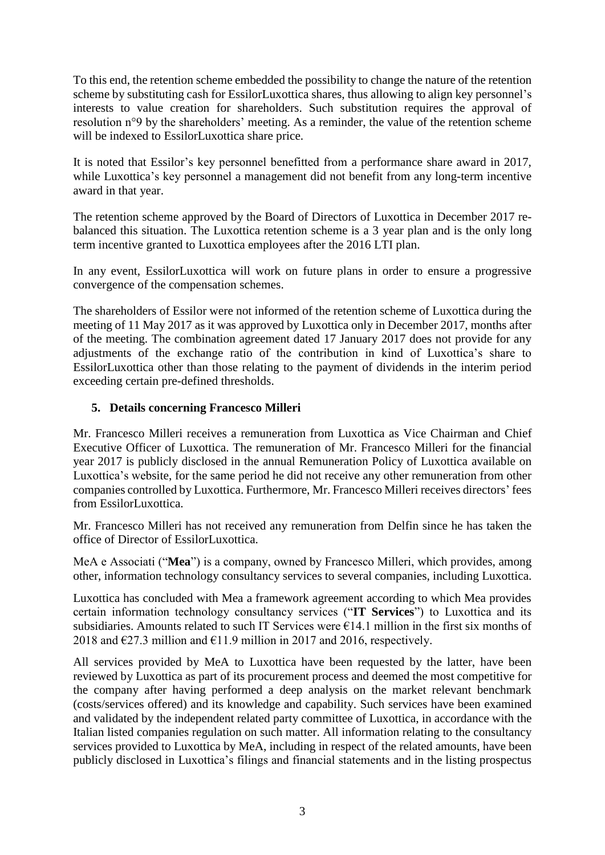To this end, the retention scheme embedded the possibility to change the nature of the retention scheme by substituting cash for EssilorLuxottica shares, thus allowing to align key personnel's interests to value creation for shareholders. Such substitution requires the approval of resolution n°9 by the shareholders' meeting. As a reminder, the value of the retention scheme will be indexed to EssilorLuxottica share price.

It is noted that Essilor's key personnel benefitted from a performance share award in 2017, while Luxottica's key personnel a management did not benefit from any long-term incentive award in that year.

The retention scheme approved by the Board of Directors of Luxottica in December 2017 rebalanced this situation. The Luxottica retention scheme is a 3 year plan and is the only long term incentive granted to Luxottica employees after the 2016 LTI plan.

In any event, EssilorLuxottica will work on future plans in order to ensure a progressive convergence of the compensation schemes.

The shareholders of Essilor were not informed of the retention scheme of Luxottica during the meeting of 11 May 2017 as it was approved by Luxottica only in December 2017, months after of the meeting. The combination agreement dated 17 January 2017 does not provide for any adjustments of the exchange ratio of the contribution in kind of Luxottica's share to EssilorLuxottica other than those relating to the payment of dividends in the interim period exceeding certain pre-defined thresholds.

# **5. Details concerning Francesco Milleri**

Mr. Francesco Milleri receives a remuneration from Luxottica as Vice Chairman and Chief Executive Officer of Luxottica. The remuneration of Mr. Francesco Milleri for the financial year 2017 is publicly disclosed in the annual Remuneration Policy of Luxottica available on Luxottica's website, for the same period he did not receive any other remuneration from other companies controlled by Luxottica. Furthermore, Mr. Francesco Milleri receives directors' fees from EssilorLuxottica.

Mr. Francesco Milleri has not received any remuneration from Delfin since he has taken the office of Director of EssilorLuxottica.

MeA e Associati ("**Mea**") is a company, owned by Francesco Milleri, which provides, among other, information technology consultancy services to several companies, including Luxottica.

Luxottica has concluded with Mea a framework agreement according to which Mea provides certain information technology consultancy services ("**IT Services**") to Luxottica and its subsidiaries. Amounts related to such IT Services were  $\epsilon$ 14.1 million in the first six months of 2018 and  $\epsilon$ 27.3 million and  $\epsilon$ 11.9 million in 2017 and 2016, respectively.

All services provided by MeA to Luxottica have been requested by the latter, have been reviewed by Luxottica as part of its procurement process and deemed the most competitive for the company after having performed a deep analysis on the market relevant benchmark (costs/services offered) and its knowledge and capability. Such services have been examined and validated by the independent related party committee of Luxottica, in accordance with the Italian listed companies regulation on such matter. All information relating to the consultancy services provided to Luxottica by MeA, including in respect of the related amounts, have been publicly disclosed in Luxottica's filings and financial statements and in the listing prospectus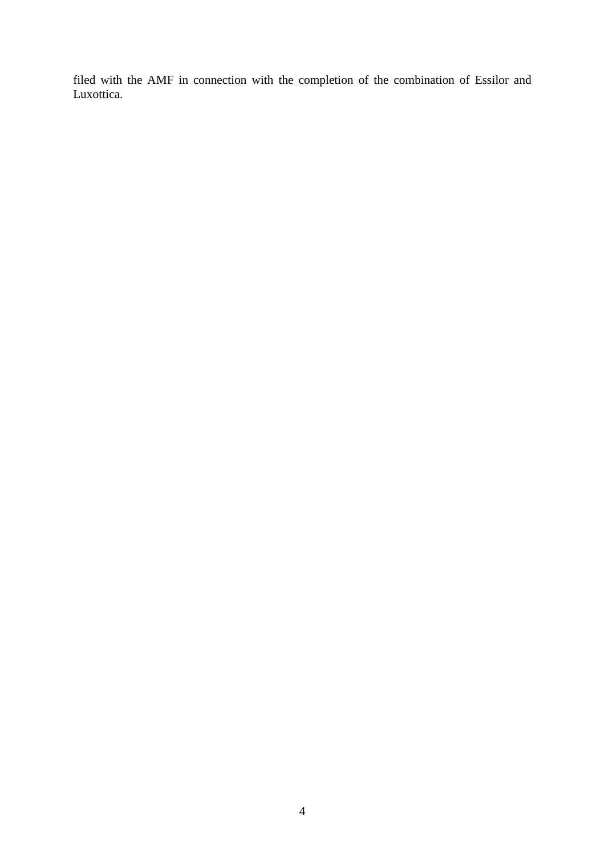filed with the AMF in connection with the completion of the combination of Essilor and Luxottica.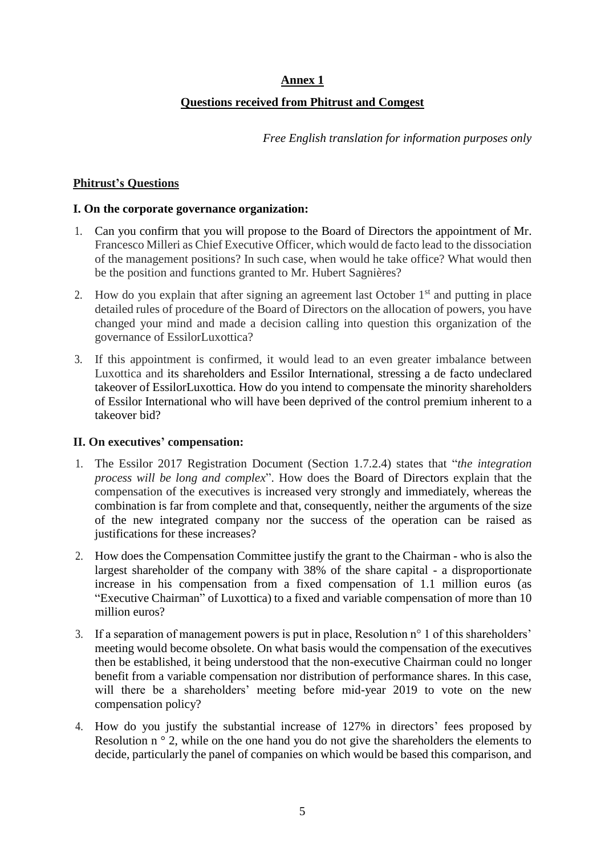# **Annex 1**

# **Questions received from Phitrust and Comgest**

*Free English translation for information purposes only*

#### **Phitrust's Questions**

#### **I. On the corporate governance organization:**

- 1. Can you confirm that you will propose to the Board of Directors the appointment of Mr. Francesco Milleri as Chief Executive Officer, which would de facto lead to the dissociation of the management positions? In such case, when would he take office? What would then be the position and functions granted to Mr. Hubert Sagnières?
- 2. How do you explain that after signing an agreement last October  $1<sup>st</sup>$  and putting in place detailed rules of procedure of the Board of Directors on the allocation of powers, you have changed your mind and made a decision calling into question this organization of the governance of EssilorLuxottica?
- 3. If this appointment is confirmed, it would lead to an even greater imbalance between Luxottica and its shareholders and Essilor International, stressing a de facto undeclared takeover of EssilorLuxottica. How do you intend to compensate the minority shareholders of Essilor International who will have been deprived of the control premium inherent to a takeover bid?

## **II. On executives' compensation:**

- 1. The Essilor 2017 Registration Document (Section 1.7.2.4) states that "*the integration process will be long and complex*". How does the Board of Directors explain that the compensation of the executives is increased very strongly and immediately, whereas the combination is far from complete and that, consequently, neither the arguments of the size of the new integrated company nor the success of the operation can be raised as justifications for these increases?
- 2. How does the Compensation Committee justify the grant to the Chairman who is also the largest shareholder of the company with 38% of the share capital - a disproportionate increase in his compensation from a fixed compensation of 1.1 million euros (as "Executive Chairman" of Luxottica) to a fixed and variable compensation of more than 10 million euros?
- 3. If a separation of management powers is put in place, Resolution n° 1 of this shareholders' meeting would become obsolete. On what basis would the compensation of the executives then be established, it being understood that the non-executive Chairman could no longer benefit from a variable compensation nor distribution of performance shares. In this case, will there be a shareholders' meeting before mid-year 2019 to vote on the new compensation policy?
- 4. How do you justify the substantial increase of 127% in directors' fees proposed by Resolution n<sup>o</sup> 2, while on the one hand you do not give the shareholders the elements to decide, particularly the panel of companies on which would be based this comparison, and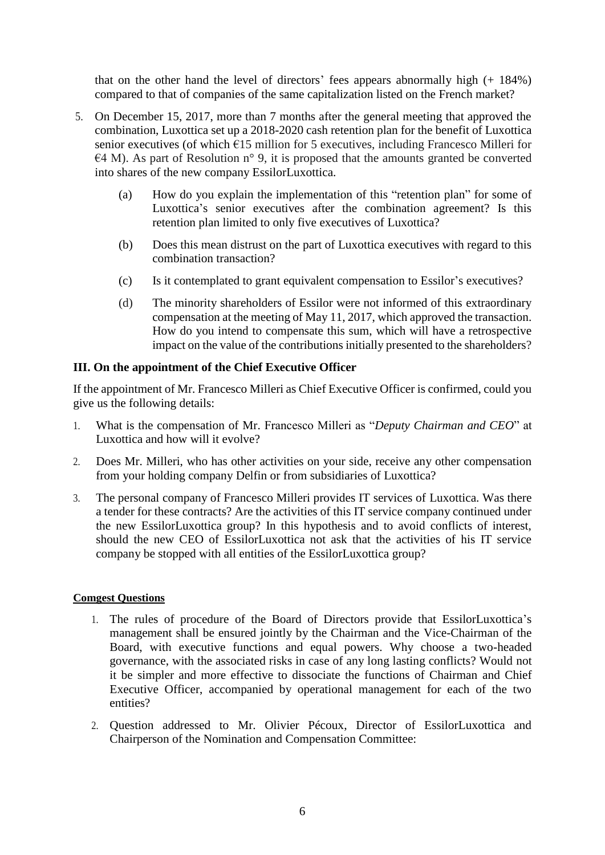that on the other hand the level of directors' fees appears abnormally high (+ 184%) compared to that of companies of the same capitalization listed on the French market?

- 5. On December 15, 2017, more than 7 months after the general meeting that approved the combination, Luxottica set up a 2018-2020 cash retention plan for the benefit of Luxottica senior executives (of which €15 million for 5 executives, including Francesco Milleri for  $E4$  M). As part of Resolution n° 9, it is proposed that the amounts granted be converted into shares of the new company EssilorLuxottica.
	- (a) How do you explain the implementation of this "retention plan" for some of Luxottica's senior executives after the combination agreement? Is this retention plan limited to only five executives of Luxottica?
	- (b) Does this mean distrust on the part of Luxottica executives with regard to this combination transaction?
	- (c) Is it contemplated to grant equivalent compensation to Essilor's executives?
	- (d) The minority shareholders of Essilor were not informed of this extraordinary compensation at the meeting of May 11, 2017, which approved the transaction. How do you intend to compensate this sum, which will have a retrospective impact on the value of the contributions initially presented to the shareholders?

## **III. On the appointment of the Chief Executive Officer**

If the appointment of Mr. Francesco Milleri as Chief Executive Officer is confirmed, could you give us the following details:

- 1. What is the compensation of Mr. Francesco Milleri as "*Deputy Chairman and CEO*" at Luxottica and how will it evolve?
- 2. Does Mr. Milleri, who has other activities on your side, receive any other compensation from your holding company Delfin or from subsidiaries of Luxottica?
- 3. The personal company of Francesco Milleri provides IT services of Luxottica. Was there a tender for these contracts? Are the activities of this IT service company continued under the new EssilorLuxottica group? In this hypothesis and to avoid conflicts of interest, should the new CEO of EssilorLuxottica not ask that the activities of his IT service company be stopped with all entities of the EssilorLuxottica group?

#### **Comgest Questions**

- 1. The rules of procedure of the Board of Directors provide that EssilorLuxottica's management shall be ensured jointly by the Chairman and the Vice-Chairman of the Board, with executive functions and equal powers. Why choose a two-headed governance, with the associated risks in case of any long lasting conflicts? Would not it be simpler and more effective to dissociate the functions of Chairman and Chief Executive Officer, accompanied by operational management for each of the two entities?
- 2. Question addressed to Mr. Olivier Pécoux, Director of EssilorLuxottica and Chairperson of the Nomination and Compensation Committee: